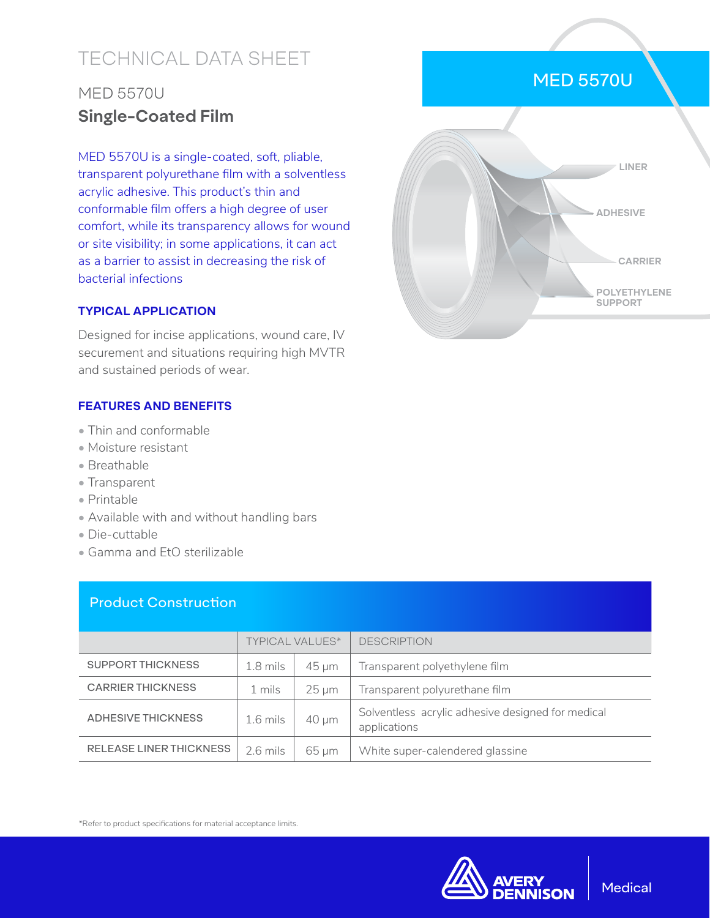# TECHNICAL DATA SHEET

# MED 5570U **Single-Coated Film**

MED 5570U is a single-coated, soft, pliable, transparent polyurethane film with a solventless acrylic adhesive. This product's thin and conformable film offers a high degree of user comfort, while its transparency allows for wound or site visibility; in some applications, it can act as a barrier to assist in decreasing the risk of bacterial infections

#### **TYPICAL APPLICATION**

Designed for incise applications, wound care, IV securement and situations requiring high MVTR and sustained periods of wear.

#### **FEATURES AND BENEFITS**

- Thin and conformable
- Moisture resistant
- Breathable
- Transparent
- Printable
- Available with and without handling bars
- Die-cuttable
- Gamma and EtO sterilizable

### Product Construction

|                                | <b>TYPICAL VALUES*</b> |                 | <b>DESCRIPTION</b>                                                |
|--------------------------------|------------------------|-----------------|-------------------------------------------------------------------|
| <b>SUPPORT THICKNESS</b>       | $1.8$ mils             | 45 um           | Transparent polyethylene film                                     |
| <b>CARRIER THICKNESS</b>       | 1 mils                 | $25 \text{ µm}$ | Transparent polyurethane film                                     |
| <b>ADHESIVE THICKNESS</b>      | $1.6$ mils             | $40 \mu m$      | Solventless acrylic adhesive designed for medical<br>applications |
| <b>RELEASE LINER THICKNESS</b> | $2.6$ mils             | 65 um           | White super-calendered glassine                                   |

\*Refer to product specifications for material acceptance limits.









**POLYETHYLENE SUPPORT**

**CARRIER**

**ADHESIVE**